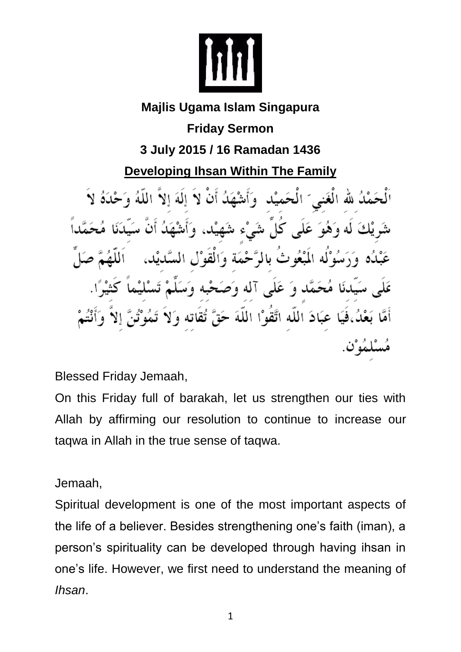

## **Majlis Ugama Islam Singapura**

**Friday Sermon**

**3 July 2015 / 16 Ramadan 1436**

**Developing Ihsan Within The Family**

حَمْلُ لله الْغَني َ الْحَميْا الهَ الا الما ه انثر شَرِيْكَ لَه وَهُوَ عَلَى كَلِّ شَيْءٍ شَهِ عَبْدُه وَرَسُوْلُه الْمَبْعُوثَ بِالْمُرَّحْمَةِ وَالْقُوْلِ ِ مُحَمَّد وَ عَلَى آله وَصَـٰ عَبَادَ اللَّه اتَّقَوْا اللَّهَ حَ ﻠﻤَﻪ ﻥ.

Blessed Friday Jemaah,

On this Friday full of barakah, let us strengthen our ties with Allah by affirming our resolution to continue to increase our taqwa in Allah in the true sense of taqwa.

Jemaah,

Spiritual development is one of the most important aspects of the life of a believer. Besides strengthening one's faith (iman), a person's spirituality can be developed through having ihsan in one's life. However, we first need to understand the meaning of *Ihsan*.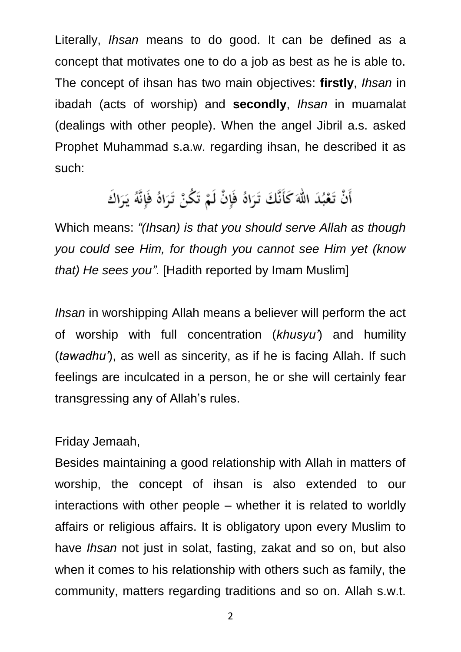Literally, *Ihsan* means to do good. It can be defined as a concept that motivates one to do a job as best as he is able to. The concept of ihsan has two main objectives: **firstly**, *Ihsan* in ibadah (acts of worship) and **secondly**, *Ihsan* in muamalat (dealings with other people). When the angel Jibril a.s. asked Prophet Muhammad s.a.w. regarding ihsan, he described it as such:

# أَنْ تَعْبُدَ اللَّهَ كَأَنَّكَ تَرَاهُ فَإِنْ لَمْ تَكُنْ تَرَاهُ فَإِنَّهُ يَرَاكَ

Which means: *"(Ihsan) is that you should serve Allah as though you could see Him, for though you cannot see Him yet (know that) He sees you".* [Hadith reported by Imam Muslim]

*Ihsan* in worshipping Allah means a believer will perform the act of worship with full concentration (*khusyu'*) and humility (*tawadhu'*), as well as sincerity, as if he is facing Allah. If such feelings are inculcated in a person, he or she will certainly fear transgressing any of Allah's rules.

### Friday Jemaah,

Besides maintaining a good relationship with Allah in matters of worship, the concept of ihsan is also extended to our interactions with other people – whether it is related to worldly affairs or religious affairs. It is obligatory upon every Muslim to have *Ihsan* not just in solat, fasting, zakat and so on, but also when it comes to his relationship with others such as family, the community, matters regarding traditions and so on. Allah s.w.t.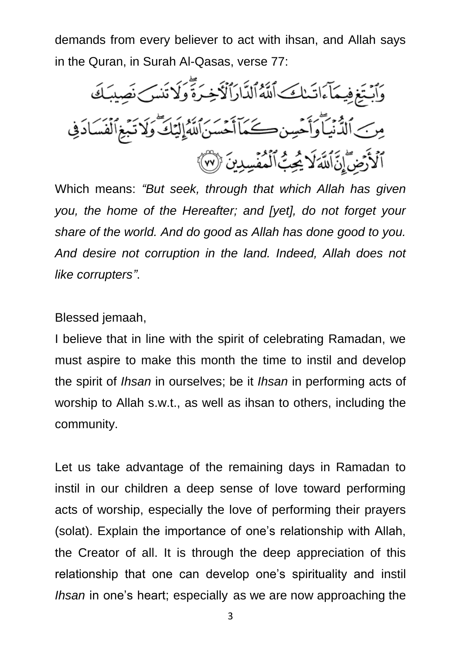demands from every believer to act with ihsan, and Allah says in the Quran, in Surah Al-Qasas, verse 77:



Which means: *"But seek, through that which Allah has given you, the home of the Hereafter; and [yet], do not forget your share of the world. And do good as Allah has done good to you. And desire not corruption in the land. Indeed, Allah does not like corrupters"*.

#### Blessed jemaah,

I believe that in line with the spirit of celebrating Ramadan, we must aspire to make this month the time to instil and develop the spirit of *Ihsan* in ourselves; be it *Ihsan* in performing acts of worship to Allah s.w.t., as well as ihsan to others, including the community.

Let us take advantage of the remaining days in Ramadan to instil in our children a deep sense of love toward performing acts of worship, especially the love of performing their prayers (solat). Explain the importance of one's relationship with Allah, the Creator of all. It is through the deep appreciation of this relationship that one can develop one's spirituality and instil *Ihsan* in one's heart; especially as we are now approaching the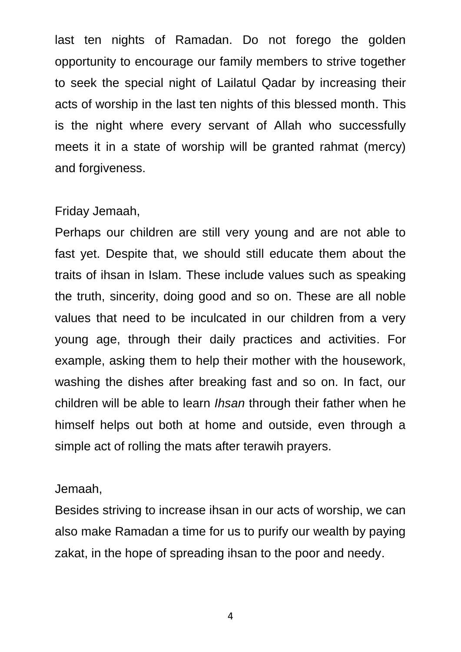last ten nights of Ramadan. Do not forego the golden opportunity to encourage our family members to strive together to seek the special night of Lailatul Qadar by increasing their acts of worship in the last ten nights of this blessed month. This is the night where every servant of Allah who successfully meets it in a state of worship will be granted rahmat (mercy) and forgiveness.

#### Friday Jemaah,

Perhaps our children are still very young and are not able to fast yet. Despite that, we should still educate them about the traits of ihsan in Islam. These include values such as speaking the truth, sincerity, doing good and so on. These are all noble values that need to be inculcated in our children from a very young age, through their daily practices and activities. For example, asking them to help their mother with the housework, washing the dishes after breaking fast and so on. In fact, our children will be able to learn *Ihsan* through their father when he himself helps out both at home and outside, even through a simple act of rolling the mats after terawih prayers.

#### Jemaah,

Besides striving to increase ihsan in our acts of worship, we can also make Ramadan a time for us to purify our wealth by paying zakat, in the hope of spreading ihsan to the poor and needy.

4